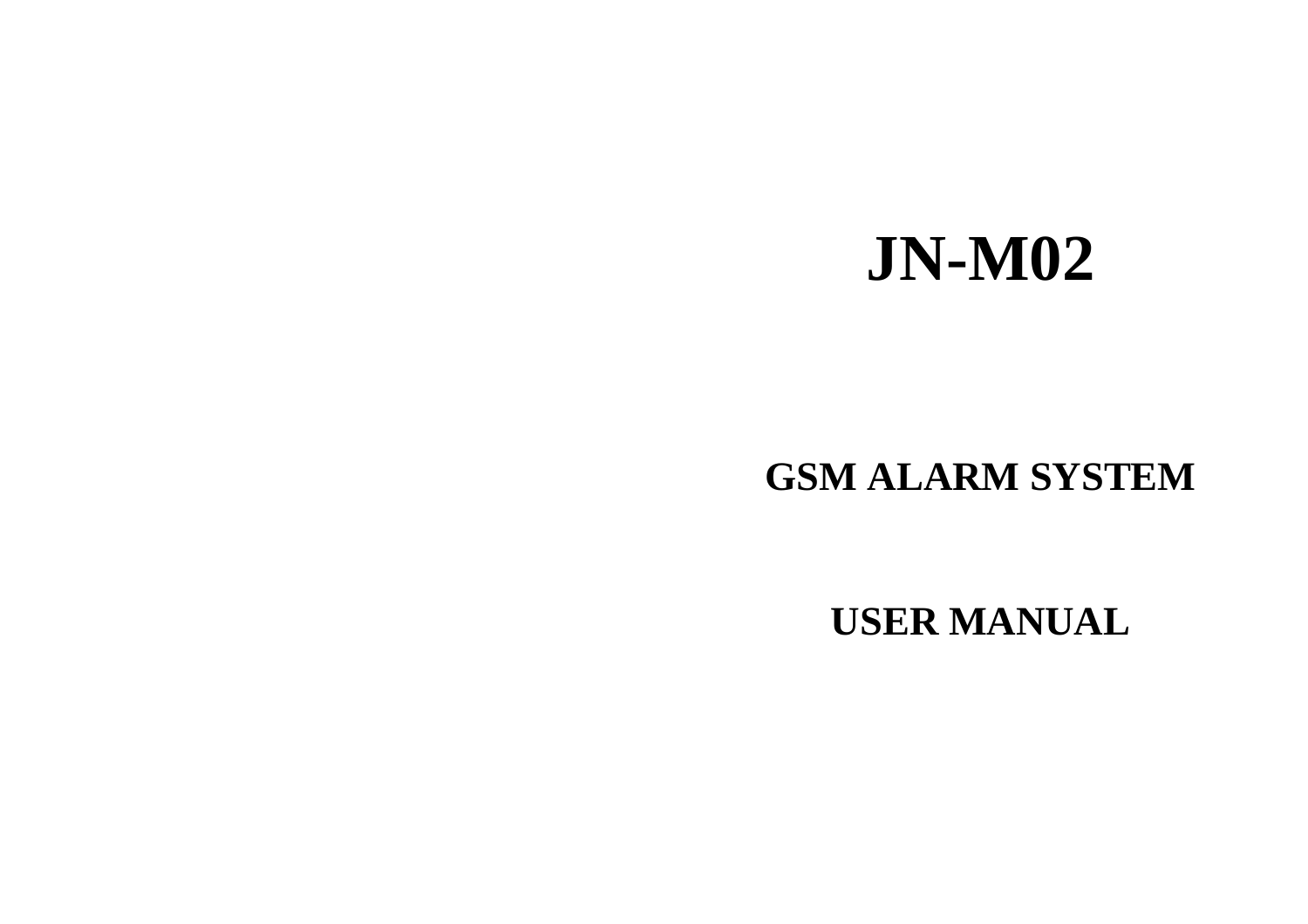# **JN-M02**

## **GSM ALARM SYSTEM**

**USER MANUAL**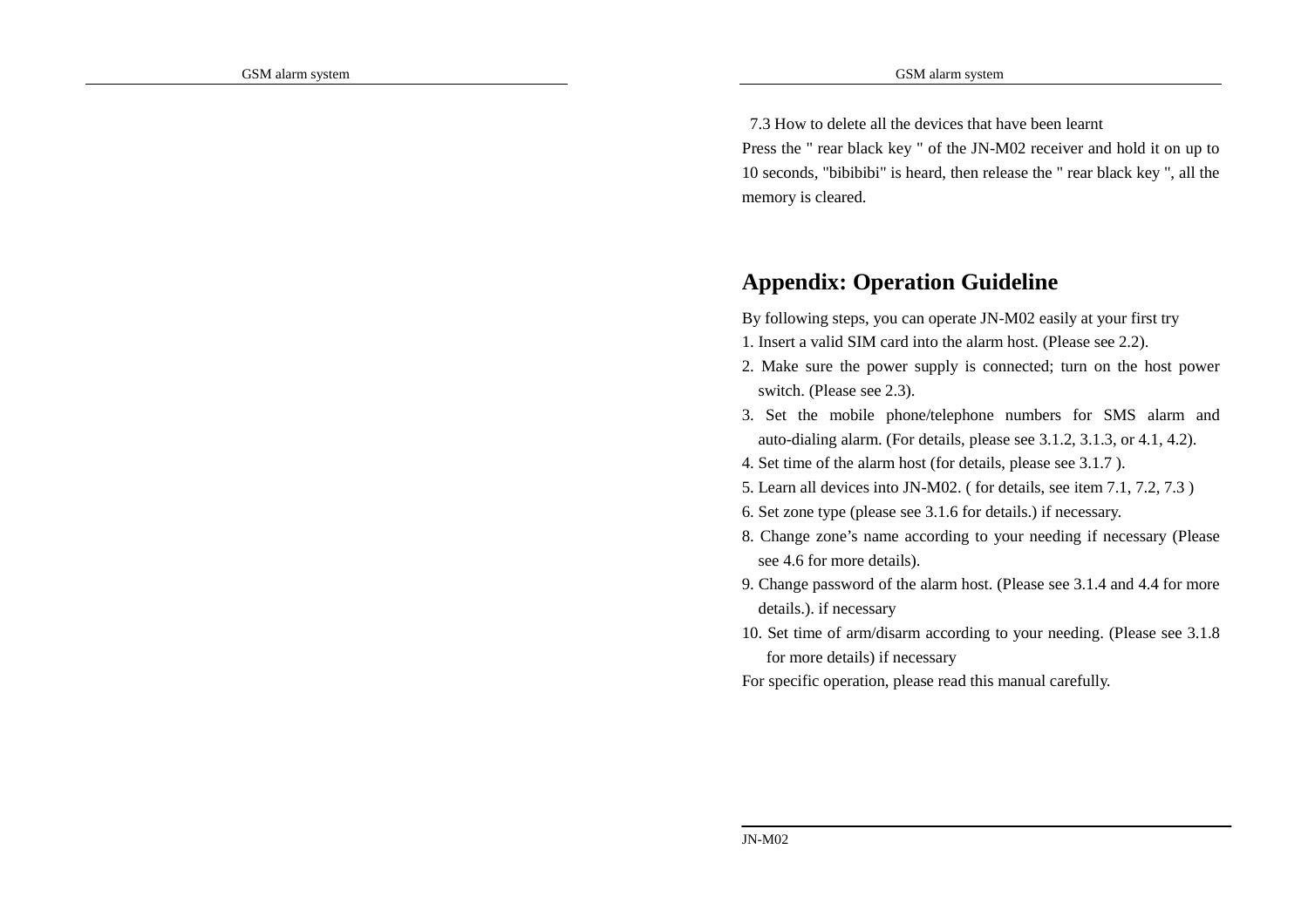7.3 How to delete all the devices that have been learnt

Press the " rear black key " of the JN-M02 receiver and hold it on up to 10 seconds, "bibibibi" is heard, then release the " rear black key ", all the memory is cleared.

## **Appendix: Operation Guideline**

By following steps, you can operate JN-M02 easily at your first try

- 1. Insert a valid SIM card into the alarm host. (Please see 2.2).
- 2. Make sure the power supply is connected; turn on the host power switch. (Please see 2.3).
- 3. Set the mobile phone/telephone numbers for SMS alarm and auto-dialing alarm. (For details, please see 3.1.2, 3.1.3, or 4.1, 4.2).
- 4. Set time of the alarm host (for details, please see 3.1.7 ).
- 5. Learn all devices into JN-M02. ( for details, see item 7.1, 7.2, 7.3 )
- 6. Set zone type (please see 3.1.6 for details.) if necessary.
- 8. Change zone's name according to your needing if necessary (Please see 4.6 for more details).
- 9. Change password of the alarm host. (Please see 3.1.4 and 4.4 for more details.). if necessary
- 10. Set time of arm/disarm according to your needing. (Please see 3.1.8 for more details) if necessary
- For specific operation, please read this manual carefully.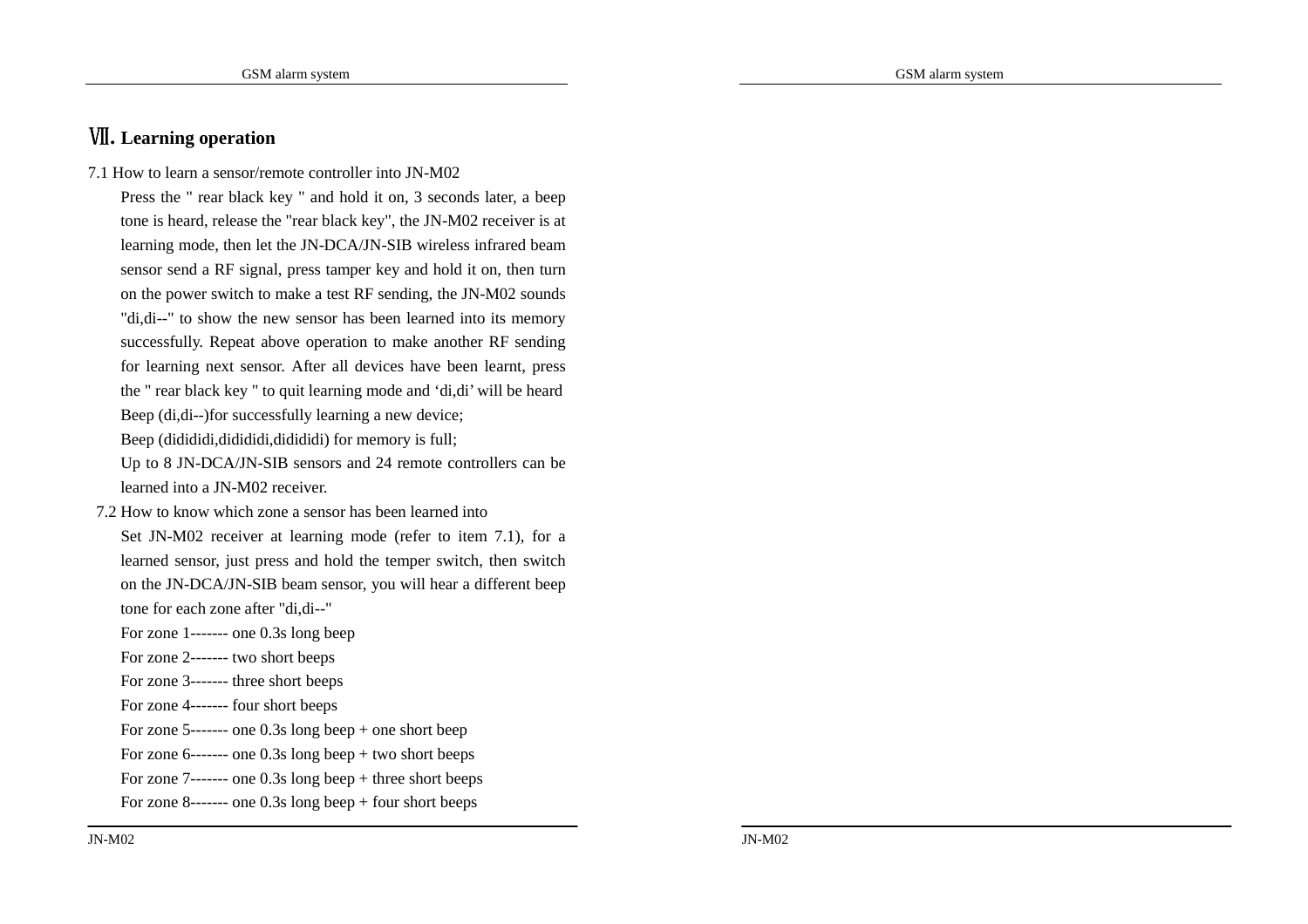## Ⅶ**. Learning operation**

7.1 How to learn a sensor/remote controller into JN-M02

Press the " rear black key " and hold it on, 3 seconds later, a beep tone is heard, release the "rear black key", the JN-M02 receiver is at learning mode, then let the JN-DCA/JN-SIB wireless infrared beam sensor send a RF signal, press tamper key and hold it on, then turn on the power switch to make a test RF sending, the JN-M02 sounds "di,di--" to show the new sensor has been learned into its memory successfully. Repeat above operation to make another RF sending for learning next sensor. After all devices have been learnt, press the " rear black key " to quit learning mode and 'di,di' will be heard Beep (di,di--)for successfully learning a new device;

Beep (didididi,didididi,didididi) for memory is full;

Up to 8 JN-DCA/JN-SIB sensors and 24 remote controllers can be learned into a JN-M02 receiver.

7.2 How to know which zone a sensor has been learned into

 Set JN-M02 receiver at learning mode (refer to item 7.1), for a learned sensor, just press and hold the temper switch, then switch on the JN-DCA/JN-SIB beam sensor, you will hear a different beep tone for each zone after "di,di--"

For zone 1------- one 0.3s long beep

- For zone 2------- two short beeps
- For zone 3------- three short beeps
- For zone 4------- four short beeps

For zone 5------- one 0.3s long beep + one short beep

For zone 6------- one 0.3s long beep + two short beeps

- For zone 7------- one 0.3s long beep + three short beeps
- For zone 8------- one 0.3s long beep + four short beeps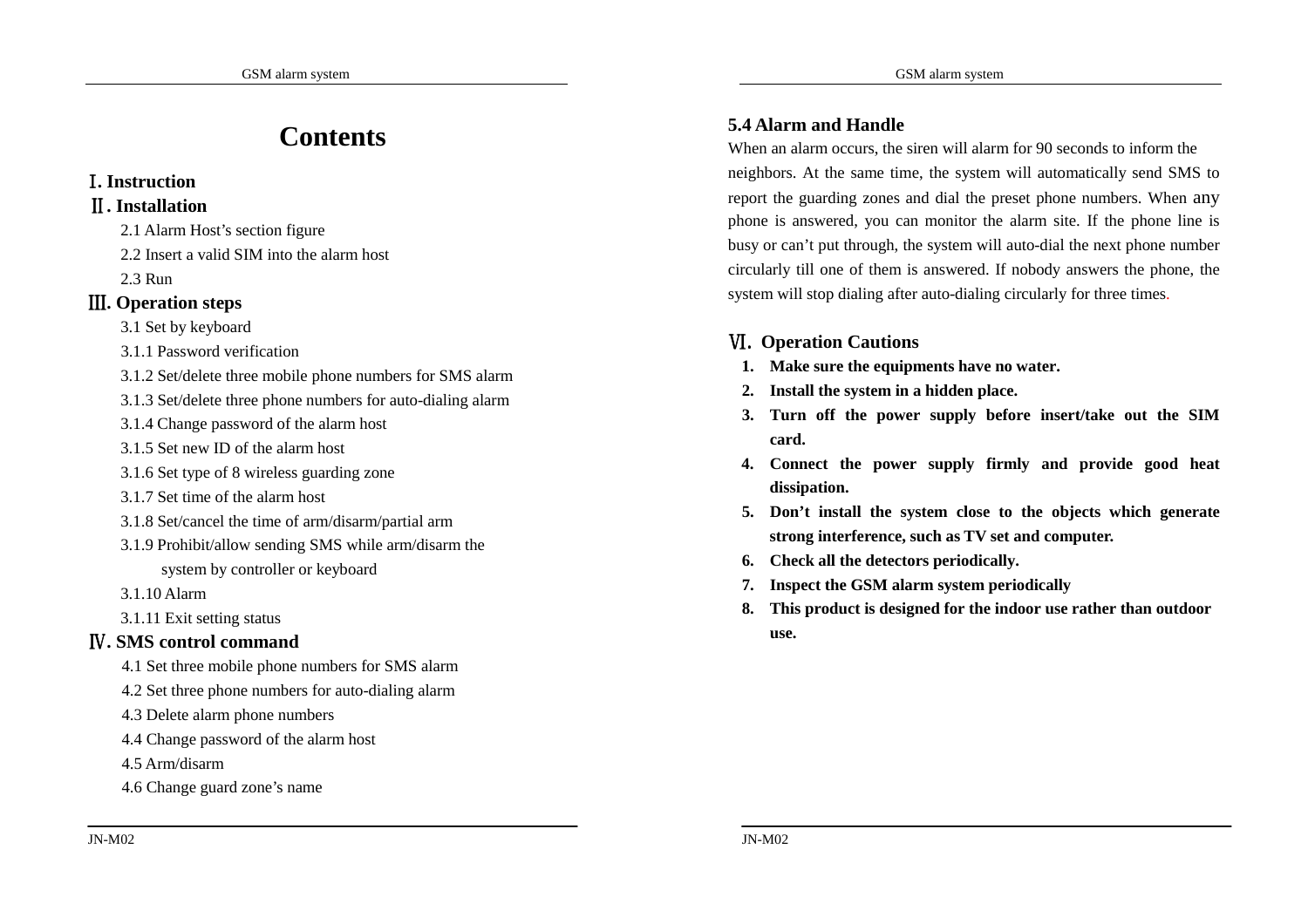## **Contents**

#### I**. Instruction**

#### Ⅱ**. Installation**

2.1 Alarm Host's section figure

2.2 Insert a valid SIM into the alarm host

2.3 Run

#### Ⅲ**. Operation steps**

3.1 Set by keyboard

3.1.1 Password verification

3.1.2 Set/delete three mobile phone numbers for SMS alarm

3.1.3 Set/delete three phone numbers for auto-dialing alarm

3.1.4 Change password of the alarm host

3.1.5 Set new ID of the alarm host

3.1.6 Set type of 8 wireless guarding zone

3.1.7 Set time of the alarm host

3.1.8 Set/cancel the time of arm/disarm/partial arm

 3.1.9 Prohibit/allow sending SMS while arm/disarm the system by controller or keyboard

3.1.10 Alarm

3.1.11 Exit setting status

#### Ⅳ**. SMS control command**

4.1 Set three mobile phone numbers for SMS alarm

4.2 Set three phone numbers for auto-dialing alarm

4.3 Delete alarm phone numbers

4.4 Change password of the alarm host

4.5 Arm/disarm

4.6 Change guard zone's name

#### **5.4 Alarm and Handle**

When an alarm occurs, the siren will alarm for 90 seconds to inform the neighbors. At the same time, the system will automatically send SMS to report the guarding zones and dial the preset phone numbers. When any phone is answered, you can monitor the alarm site. If the phone line is busy or can't put through, the system will auto-dial the next phone number circularly till one of them is answered. If nobody answers the phone, the system will stop dialing after auto-dialing circularly for three times.

#### Ⅵ. **Operation Cautions**

- **1. Make sure the equipments have no water.**
- **2. Install the system in a hidden place.**
- **3. Turn off the power supply before insert/take out the SIMcard.**
- **4. Connect the power supply firmly and provide good heat dissipation.**
- **5. Don't install the system close to the objects which generate strong interference, such as TV set and computer.**
- **6. Check all the detectors periodically.**
- **7. Inspect the GSM alarm system periodically**
- **8. This product is designed for the indoor use rather than outdoor use.**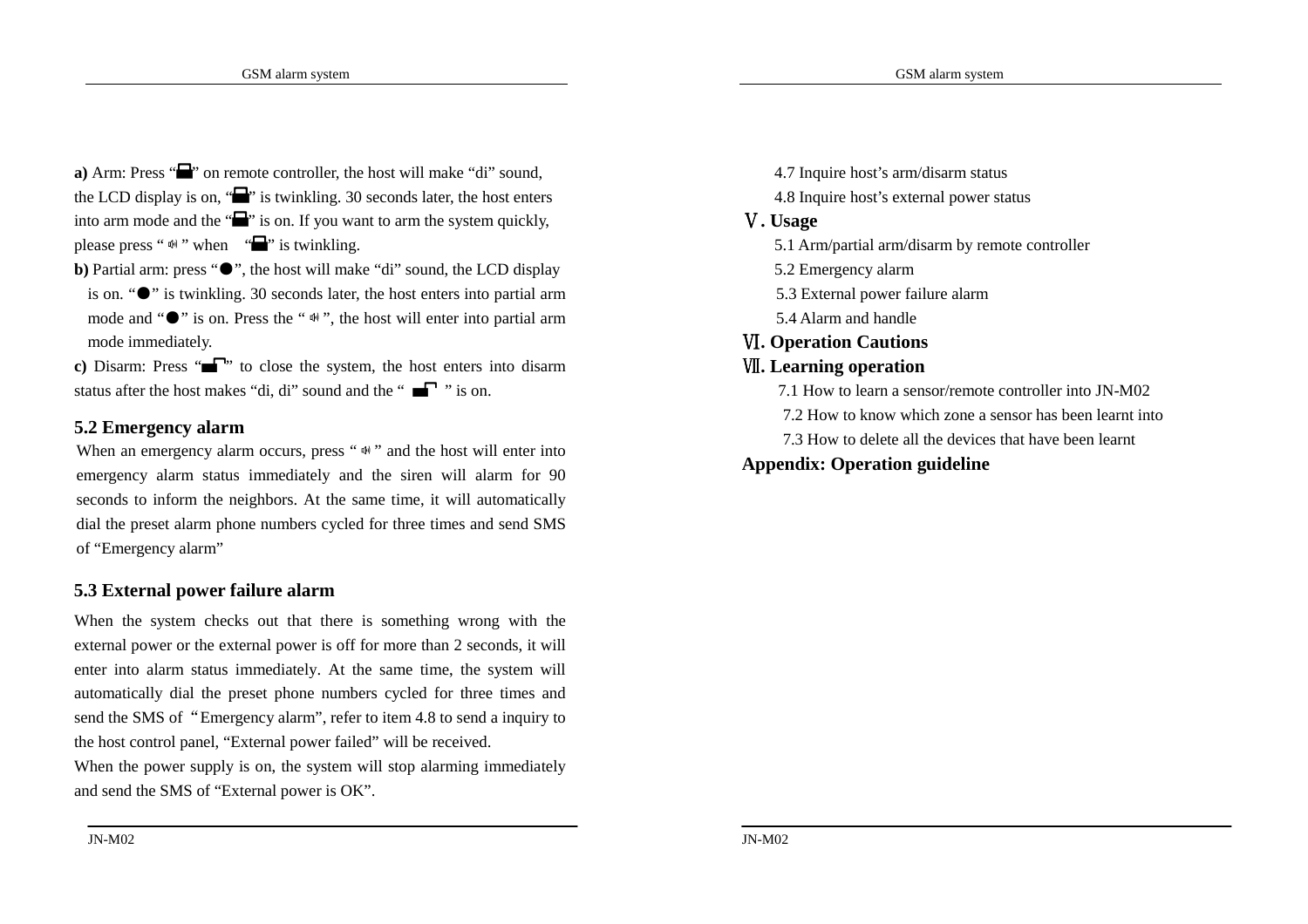**a**) Arm: Press " $\blacksquare$ " on remote controller, the host will make "di" sound, the LCD display is on, " $\blacksquare$ " is twinkling. 30 seconds later, the host enters into arm mode and the " $\blacksquare$ " is on. If you want to arm the system quickly, please press "  $\phi$  " when " $\Box$ " is twinkling.

**b**) Partial arm: press "●", the host will make "di" sound, the LCD display is on. "●" is twinkling. 30 seconds later, the host enters into partial arm mode and " $\bullet$ " is on. Press the "<sup> $\phi$ </sup>", the host will enter into partial arm mode immediately.

**c**) Disarm: Press " $\blacksquare$ " to close the system, the host enters into disarm status after the host makes "di, di" sound and the " $\blacksquare$ " is on.

#### **5.2 Emergency alarm**

When an emergency alarm occurs, press " $\mathbf{\omega}$ " and the host will enter into emergency alarm status immediately and the siren will alarm for 90 seconds to inform the neighbors. At the same time, it will automatically dial the preset alarm phone numbers cycled for three times and send SMS of "Emergency alarm"

#### **5.3 External power failure alarm**

When the system checks out that there is something wrong with the external power or the external power is off for more than 2 seconds, it will enter into alarm status immediately. At the same time, the system will automatically dial the preset phone numbers cycled for three times and send the SMS of "Emergency alarm", refer to item 4.8 to send a inquiry to the host control panel, "External power failed" will be received. When the power supply is on, the system will stop alarming immediately and send the SMS of "External power is OK".

4.7 Inquire host's arm/disarm status

- 4.8 Inquire host's external power status
- Ⅴ**. Usage** 
	- 5.1 Arm/partial arm/disarm by remote controller
	- 5.2 Emergency alarm
	- 5.3 External power failure alarm
	- 5.4 Alarm and handle
- Ⅵ**. Operation Cautions**

#### Ⅶ**. Learning operation**

7.1 How to learn a sensor/remote controller into JN-M02

7.2 How to know which zone a sensor has been learnt into

7.3 How to delete all the devices that have been learnt

#### **Appendix: Operation guideline**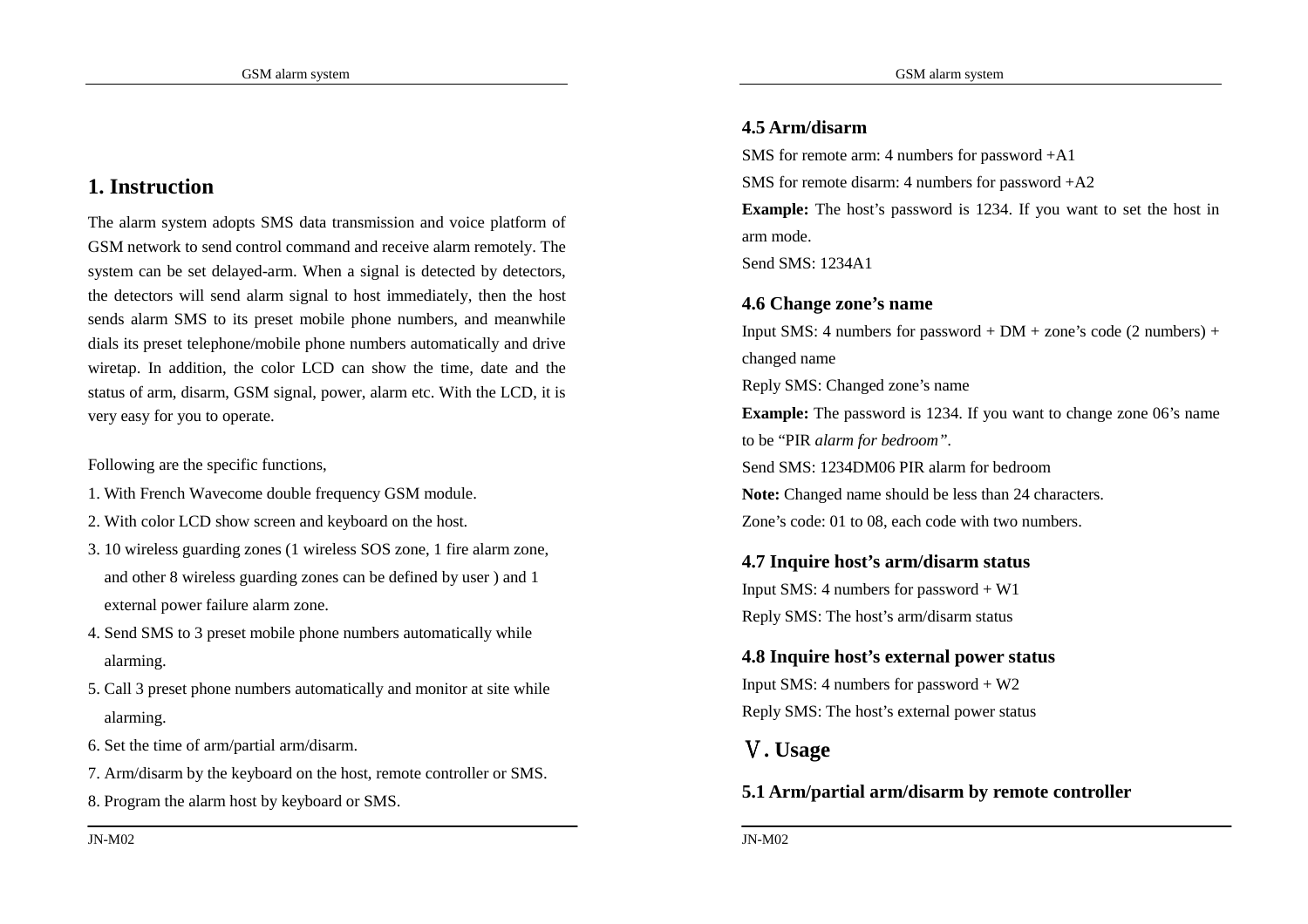## **1. Instruction**

The alarm system adopts SMS data transmission and voice platform of GSM network to send control command and receive alarm remotely. The system can be set delayed-arm. When a signal is detected by detectors, the detectors will send alarm signal to host immediately, then the host sends alarm SMS to its preset mobile phone numbers, and meanwhile dials its preset telephone/mobile phone numbers automatically and drive wiretap. In addition, the color LCD can show the time, date and the status of arm, disarm, GSM signal, power, alarm etc. With the LCD, it is very easy for you to operate.

Following are the specific functions,

- 1. With French Wavecome double frequency GSM module.
- 2. With color LCD show screen and keyboard on the host.
- 3. 10 wireless guarding zones (1 wireless SOS zone, 1 fire alarm zone, and other 8 wireless guarding zones can be defined by user ) and 1 external power failure alarm zone.
- 4. Send SMS to 3 preset mobile phone numbers automatically while alarming.
- 5. Call 3 preset phone numbers automatically and monitor at site while alarming.
- 6. Set the time of arm/partial arm/disarm.
- 7. Arm/disarm by the keyboard on the host, remote controller or SMS.
- 8. Program the alarm host by keyboard or SMS.

**4.5 Arm/disarm**

SMS for remote arm: 4 numbers for password +A1

SMS for remote disarm: 4 numbers for password +A2

**Example:** The host's password is 1234. If you want to set the host in arm mode.

Send SMS: 1234A1

#### **4.6 Change zone's name**

Input SMS: 4 numbers for password +  $DM + zone's code (2 numbers) +$ changed name Reply SMS: Changed zone's name

**Example:** The password is 1234. If you want to change zone 06's name to be "PIR *alarm for bedroom".* Send SMS: 1234DM06 PIR alarm for bedroom

**Note:** Changed name should be less than 24 characters.

Zone's code: 01 to 08, each code with two numbers.

#### **4.7 Inquire host's arm/disarm status**

Input SMS: 4 numbers for password  $+ W1$ Reply SMS: The host's arm/disarm status

**4.8 Inquire host's external power status** Input SMS: 4 numbers for password  $+ W2$ Reply SMS: The host's external power status

Ⅴ**. Usage** 

#### **5.1 Arm/partial arm/disarm by remote controller**

JN-M02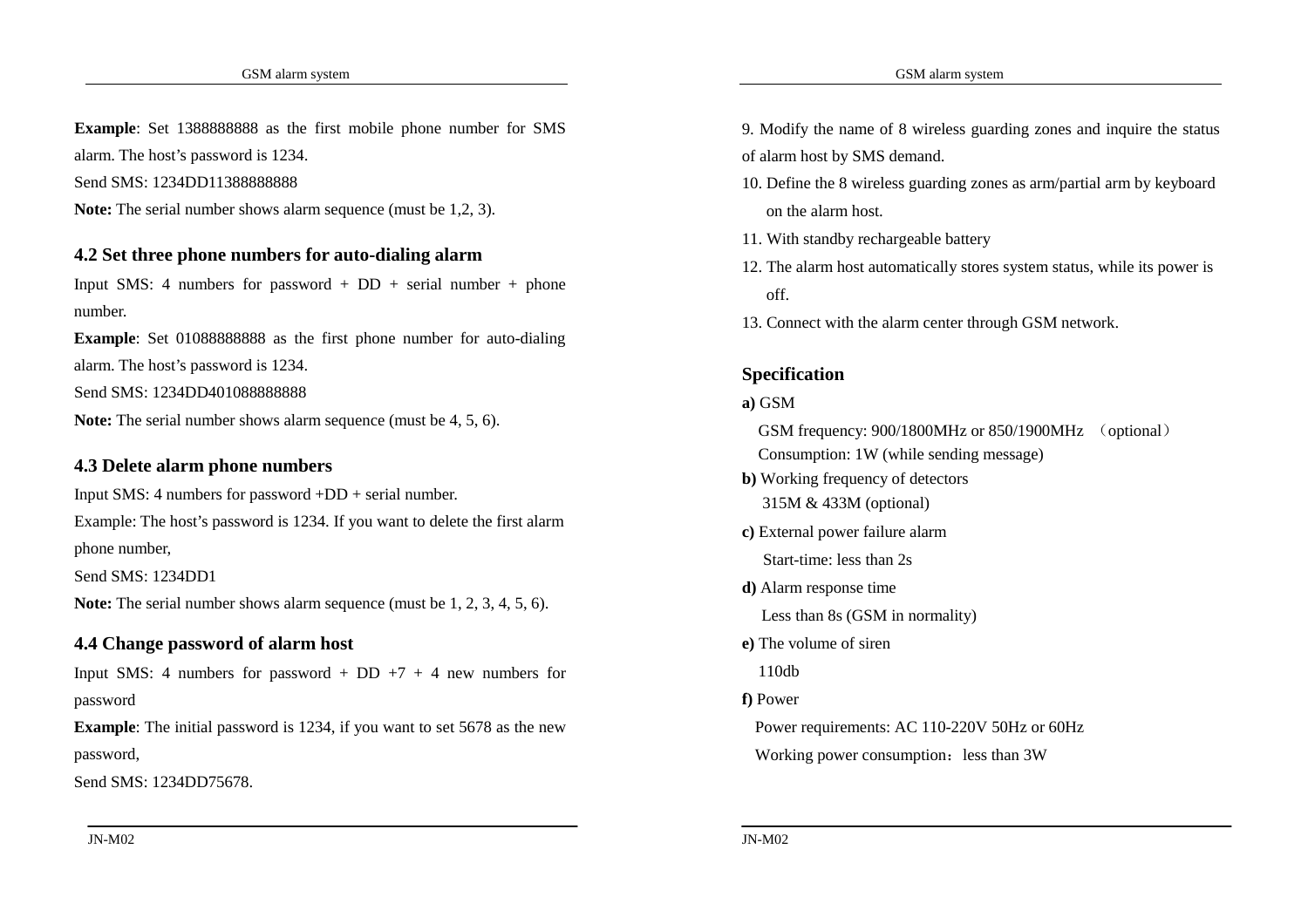**Example**: Set 1388888888 as the first mobile phone number for SMS alarm. The host's password is 1234.

Send SMS: 1234DD113888888888

**Note:** The serial number shows alarm sequence (must be 1,2, 3).

#### **4.2 Set three phone numbers for auto-dialing alarm**

Input SMS: 4 numbers for password +  $DD$  + serial number + phone number.

**Example**: Set 010888888888 as the first phone number for auto-dialing alarm. The host's password is 1234.

Send SMS: 1234DD401088888888

**Note:** The serial number shows alarm sequence (must be 4, 5, 6).

#### **4.3 Delete alarm phone numbers**

Input SMS: 4 numbers for password +DD + serial number. Example: The host's password is 1234. If you want to delete the first alarm phone number,

Send SMS: 1234DD1

**Note:** The serial number shows alarm sequence (must be 1, 2, 3, 4, 5, 6).

#### **4.4 Change password of alarm host**

Input SMS: 4 numbers for password + DD +7 + 4 new numbers for password

**Example**: The initial password is 1234, if you want to set 5678 as the new password,

Send SMS: 1234DD75678.

- 9. Modify the name of 8 wireless guarding zones and inquire the status of alarm host by SMS demand.
- 10. Define the 8 wireless guarding zones as arm/partial arm by keyboard on the alarm host.
- 11. With standby rechargeable battery
- 12. The alarm host automatically stores system status, while its power is off.
- 13. Connect with the alarm center through GSM network.

#### **Specification**

#### **a)** GSM

GSM frequency: 900/1800MHz or 850/1900MHz (optional)Consumption: 1W (while sending message)

- **b**) Working frequency of detectors 315M & 433M (optional)
- **c)** External power failure alarmStart-time: less than 2s
- **d)** Alarm response time

Less than 8s (GSM in normality)

- **e)** The volume of siren
	- 110db
- **f)** Power

Power requirements: AC 110-220V 50Hz or 60Hz Working power consumption: less than 3W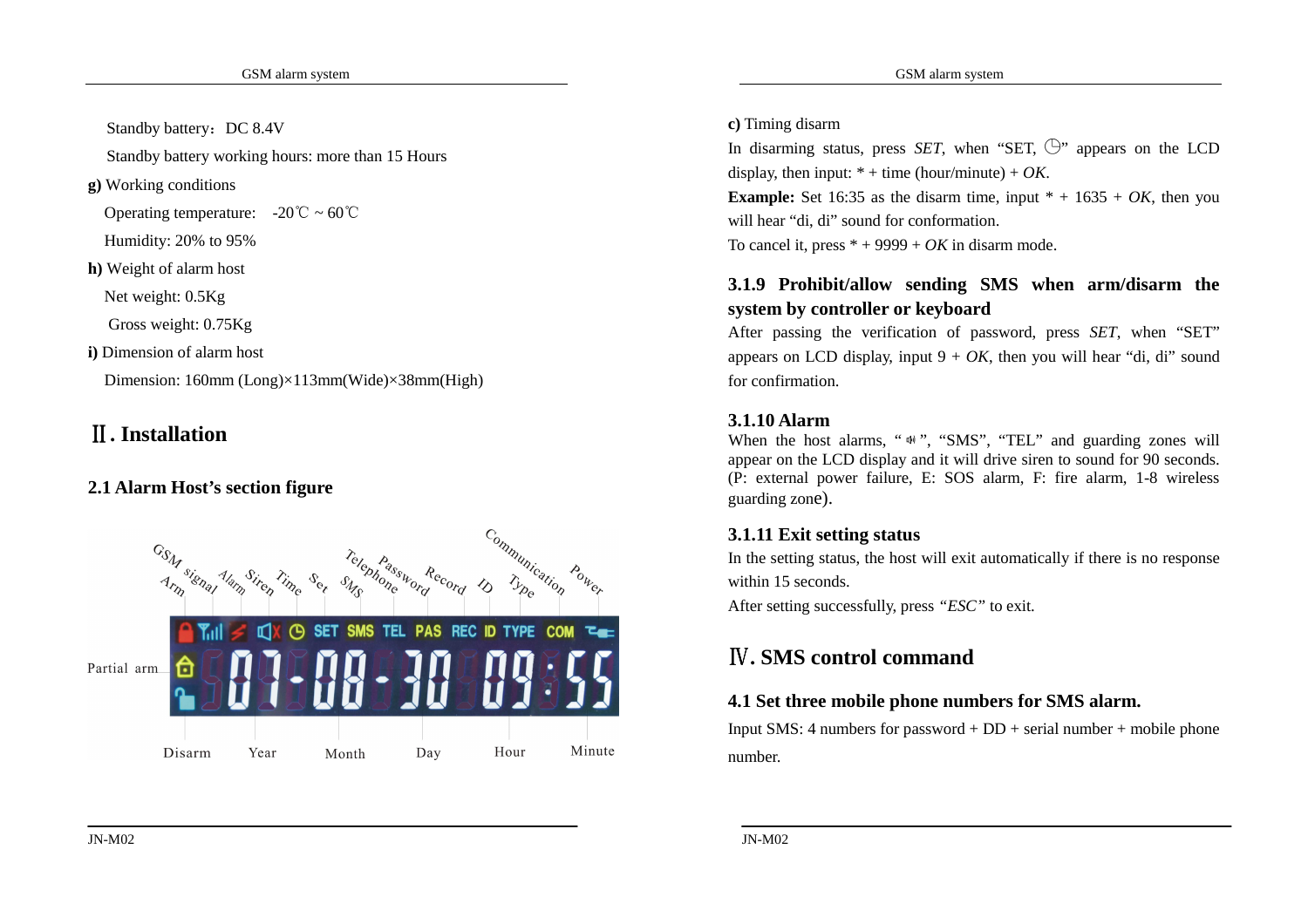Standby battery: DC 8.4V

Standby battery working hours: more than 15 Hours

**g)** Working conditions

Operating temperature:  $-20^{\circ}\text{C} \sim 60^{\circ}\text{C}$ 

Humidity: 20% to 95%

**h)** Weight of alarm host

Net weight: 0.5Kg

Gross weight: 0.75Kg

**i)** Dimension of alarm host

Dimension: 160mm (Long)×113mm(Wide)×38mm(High)

## Ⅱ**. Installation**

## **2.1 Alarm Host's section figure**



**c)** Timing disarm

In disarming status, press *SET*, when "SET,  $\bigoplus$ " appears on the LCD display, then input:  $* +$  time (hour/minute) + OK.

**Example:** Set 16:35 as the disarm time, input  $* + 1635 + OK$ , then you will hear "di, di" sound for conformation.

To cancel it, press  $* + 9999 + OK$  in disarm mode.

## **3.1.9 Prohibit/allow sending SMS when arm/disarm the system by controller or keyboard**

After passing the verification of password, press *SET*, when "SET" appears on LCD display, input  $9 + OK$ , then you will hear "di, di" sound for confirmation.

## **3.1.10 Alarm**

When the host alarms, " $\mathbb{W}$ ", "SMS", "TEL" and guarding zones will appear on the LCD display and it will drive siren to sound for 90 seconds. (P: external power failure, E: SOS alarm, F: fire alarm, 1-8 wireless guarding zone).

## **3.1.11 Exit setting status**

 In the setting status, the host will exit automatically if there is no response within 15 seconds.

After setting successfully, press *"ESC"* to exit.

## Ⅳ**. SMS control command**

## **4.1 Set three mobile phone numbers for SMS alarm.**

Input SMS: 4 numbers for password  $+$  DD  $+$  serial number  $+$  mobile phone number.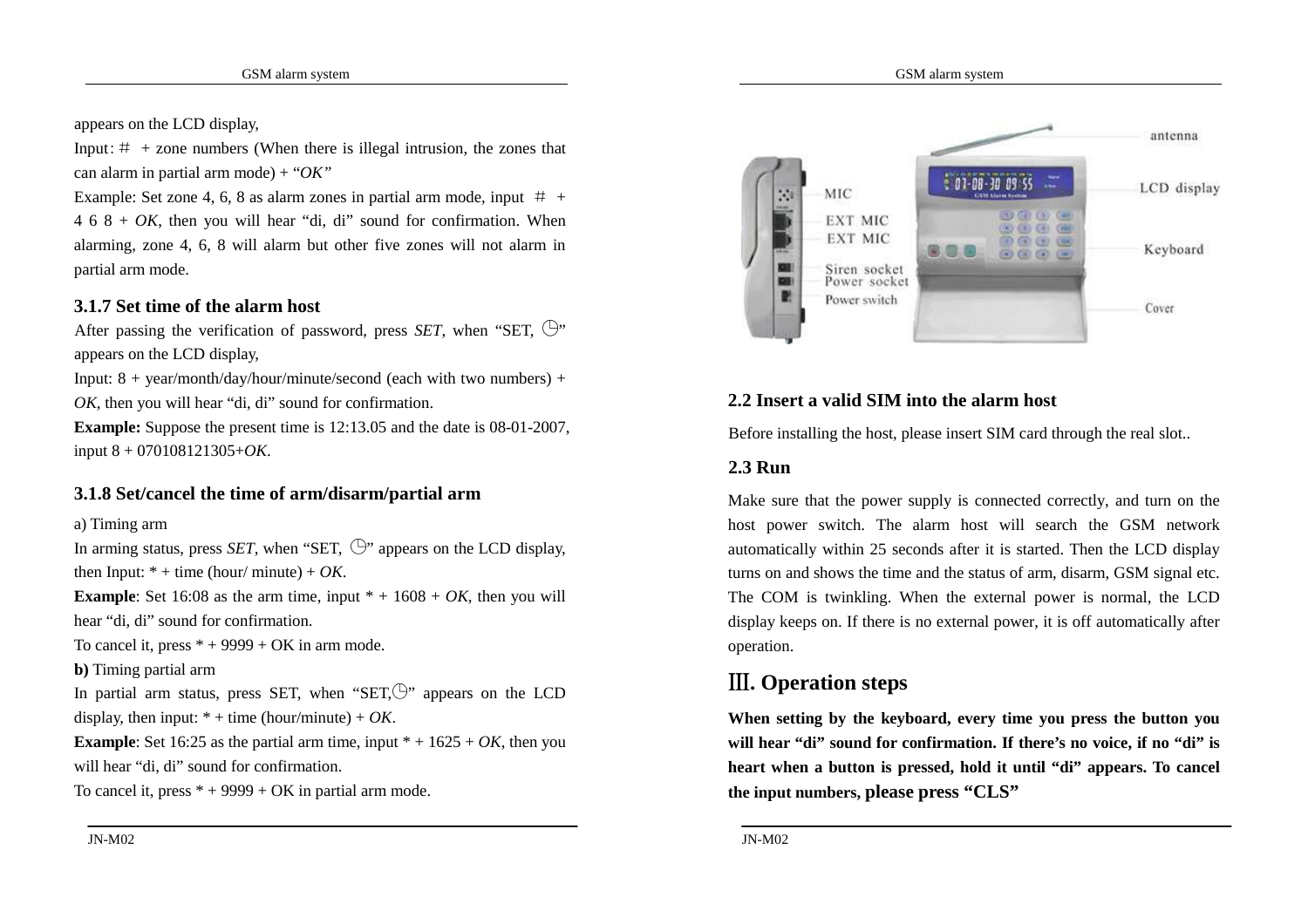appears on the LCD display,

Input:  $#$  + zone numbers (When there is illegal intrusion, the zones that can alarm in partial arm mode) + "*OK"*

Example: Set zone 4, 6, 8 as alarm zones in partial arm mode, input  $#$  +  $4 \ 6 \ 8 + OK$ , then you will hear "di, di" sound for confirmation. When alarming, zone 4, 6, 8 will alarm but other five zones will not alarm in partial arm mode.

## **3.1.7 Set time of the alarm host**

After passing the verification of password, press *SET*, when "SET,  $\bigoplus$ " appears on the LCD display,

Input:  $8 + \text{year/month/day/hour/minute/second (each with two numbers) +$ *OK*, then you will hear "di, di" sound for confirmation.

**Example:** Suppose the present time is 12:13.05 and the date is 08-01-2007, input 8 + 070108121305+*OK*.

#### **3.1.8 Set/cancel the time of arm/disarm/partial arm**

a) Timing arm

In arming status, press *SET*, when "SET,  $\mathbb{O}$ " appears on the LCD display, then Input:  $* +$  time (hour/ minute) + OK. **Example**: Set 16:08 as the arm time, input  $* + 1608 + OK$ , then you will hear "di, di" sound for confirmation. To cancel it, press  $* + 9999 + OK$  in arm mode. **b)** Timing partial arm In partial arm status, press SET, when "SET, $\cup$ " appears on the LCD display, then input:  $* +$  time (hour/minute) + OK. **Example**: Set 16:25 as the partial arm time, input  $* + 1625 + OK$ , then you will hear "di, di" sound for confirmation.

To cancel it, press  $* + 9999 + OK$  in partial arm mode.



#### **2.2 Insert a valid SIM into the alarm host**

Before installing the host, please insert SIM card through the real slot..

#### **2.3 Run**

Make sure that the power supply is connected correctly, and turn on the host power switch. The alarm host will search the GSM network automatically within 25 seconds after it is started. Then the LCD display turns on and shows the time and the status of arm, disarm, GSM signal etc. The COM is twinkling. When the external power is normal, the LCD display keeps on. If there is no external power, it is off automatically after operation.

## Ⅲ**. Operation steps**

**When setting by the keyboard, every time you press the button you will hear "di" sound for confirmation. If there's no voice, if no "di" is heart when a button is pressed, hold it until "di" appears. To cancel the input numbers, please press "CLS"**